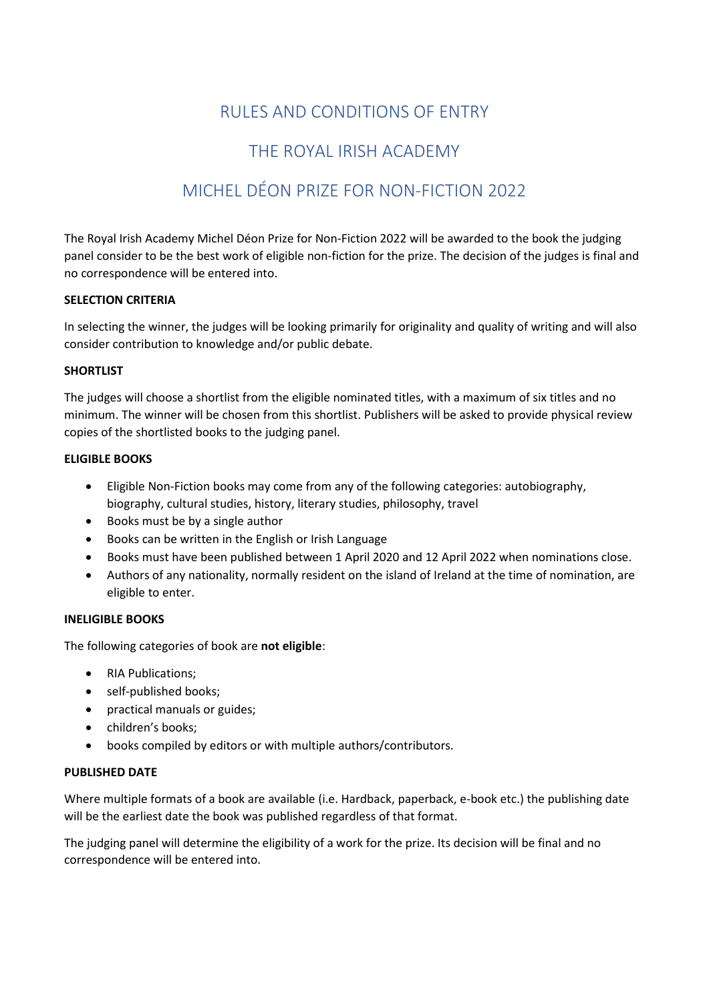# RULES AND CONDITIONS OF ENTRY

# THE ROYAL IRISH ACADEMY

# MICHEL DÉON PRIZE FOR NON-FICTION 2022

The Royal Irish Academy Michel Déon Prize for Non-Fiction 2022 will be awarded to the book the judging panel consider to be the best work of eligible non-fiction for the prize. The decision of the judges is final and no correspondence will be entered into.

#### **SELECTION CRITERIA**

In selecting the winner, the judges will be looking primarily for originality and quality of writing and will also consider contribution to knowledge and/or public debate.

# **SHORTLIST**

The judges will choose a shortlist from the eligible nominated titles, with a maximum of six titles and no minimum. The winner will be chosen from this shortlist. Publishers will be asked to provide physical review copies of the shortlisted books to the judging panel.

# **ELIGIBLE BOOKS**

- Eligible Non-Fiction books may come from any of the following categories: autobiography, biography, cultural studies, history, literary studies, philosophy, travel
- Books must be by a single author
- Books can be written in the English or Irish Language
- Books must have been published between 1 April 2020 and 12 April 2022 when nominations close.
- Authors of any nationality, normally resident on the island of Ireland at the time of nomination, are eligible to enter.

#### **INELIGIBLE BOOKS**

The following categories of book are **not eligible**:

- RIA Publications;
- self-published books;
- practical manuals or guides;
- children's books;
- books compiled by editors or with multiple authors/contributors.

#### **PUBLISHED DATE**

Where multiple formats of a book are available (i.e. Hardback, paperback, e-book etc.) the publishing date will be the earliest date the book was published regardless of that format.

The judging panel will determine the eligibility of a work for the prize. Its decision will be final and no correspondence will be entered into.